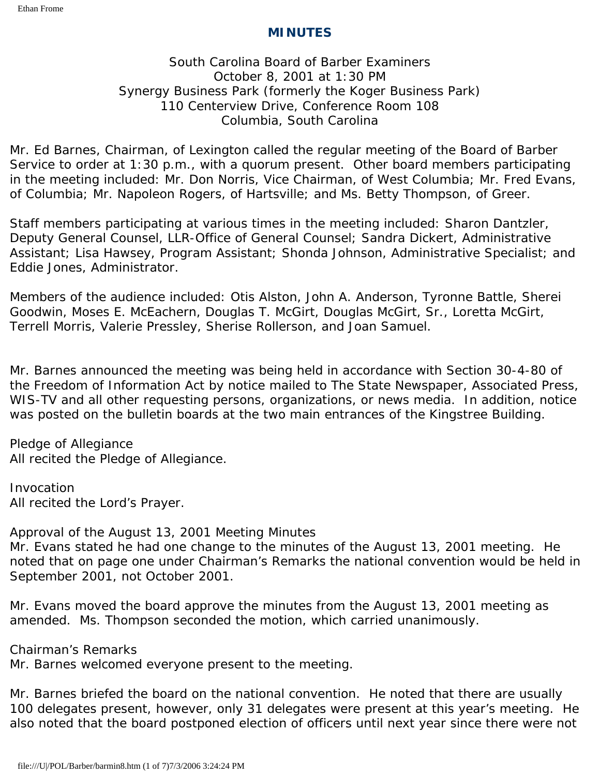### **MINUTES**

### South Carolina Board of Barber Examiners October 8, 2001 at 1:30 PM Synergy Business Park (formerly the Koger Business Park) 110 Centerview Drive, Conference Room 108 Columbia, South Carolina

Mr. Ed Barnes, Chairman, of Lexington called the regular meeting of the Board of Barber Service to order at 1:30 p.m., with a quorum present. Other board members participating in the meeting included: Mr. Don Norris, Vice Chairman, of West Columbia; Mr. Fred Evans, of Columbia; Mr. Napoleon Rogers, of Hartsville; and Ms. Betty Thompson, of Greer.

Staff members participating at various times in the meeting included: Sharon Dantzler, Deputy General Counsel, LLR-Office of General Counsel; Sandra Dickert, Administrative Assistant; Lisa Hawsey, Program Assistant; Shonda Johnson, Administrative Specialist; and Eddie Jones, Administrator.

Members of the audience included: Otis Alston, John A. Anderson, Tyronne Battle, Sherei Goodwin, Moses E. McEachern, Douglas T. McGirt, Douglas McGirt, Sr., Loretta McGirt, Terrell Morris, Valerie Pressley, Sherise Rollerson, and Joan Samuel.

Mr. Barnes announced the meeting was being held in accordance with Section 30-4-80 of the Freedom of Information Act by notice mailed to The State Newspaper, Associated Press, WIS-TV and all other requesting persons, organizations, or news media. In addition, notice was posted on the bulletin boards at the two main entrances of the Kingstree Building.

Pledge of Allegiance All recited the Pledge of Allegiance.

Invocation All recited the Lord's Prayer.

Approval of the August 13, 2001 Meeting Minutes Mr. Evans stated he had one change to the minutes of the August 13, 2001 meeting. He noted that on page one under Chairman's Remarks the national convention would be held in September 2001, not October 2001.

Mr. Evans moved the board approve the minutes from the August 13, 2001 meeting as amended. Ms. Thompson seconded the motion, which carried unanimously.

Chairman's Remarks

Mr. Barnes welcomed everyone present to the meeting.

Mr. Barnes briefed the board on the national convention. He noted that there are usually 100 delegates present, however, only 31 delegates were present at this year's meeting. He also noted that the board postponed election of officers until next year since there were not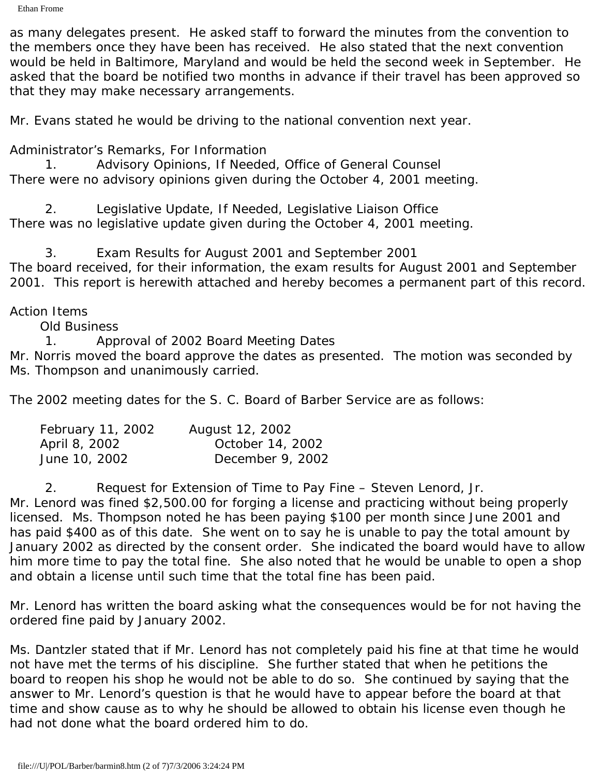as many delegates present. He asked staff to forward the minutes from the convention to the members once they have been has received. He also stated that the next convention would be held in Baltimore, Maryland and would be held the second week in September. He asked that the board be notified two months in advance if their travel has been approved so that they may make necessary arrangements.

Mr. Evans stated he would be driving to the national convention next year.

Administrator's Remarks, For Information

1. Advisory Opinions, If Needed, Office of General Counsel There were no advisory opinions given during the October 4, 2001 meeting.

2. Legislative Update, If Needed, Legislative Liaison Office There was no legislative update given during the October 4, 2001 meeting.

3. Exam Results for August 2001 and September 2001 The board received, for their information, the exam results for August 2001 and September 2001. This report is herewith attached and hereby becomes a permanent part of this record.

### Action Items

Old Business

1. Approval of 2002 Board Meeting Dates

Mr. Norris moved the board approve the dates as presented. The motion was seconded by Ms. Thompson and unanimously carried.

The 2002 meeting dates for the S. C. Board of Barber Service are as follows:

| February 11, 2002 | August 12, 2002  |
|-------------------|------------------|
| April 8, 2002     | October 14, 2002 |
| June 10, 2002     | December 9, 2002 |

2. Request for Extension of Time to Pay Fine – Steven Lenord, Jr. Mr. Lenord was fined \$2,500.00 for forging a license and practicing without being properly licensed. Ms. Thompson noted he has been paying \$100 per month since June 2001 and has paid \$400 as of this date. She went on to say he is unable to pay the total amount by January 2002 as directed by the consent order. She indicated the board would have to allow him more time to pay the total fine. She also noted that he would be unable to open a shop and obtain a license until such time that the total fine has been paid.

Mr. Lenord has written the board asking what the consequences would be for not having the ordered fine paid by January 2002.

Ms. Dantzler stated that if Mr. Lenord has not completely paid his fine at that time he would not have met the terms of his discipline. She further stated that when he petitions the board to reopen his shop he would not be able to do so. She continued by saying that the answer to Mr. Lenord's question is that he would have to appear before the board at that time and show cause as to why he should be allowed to obtain his license even though he had not done what the board ordered him to do.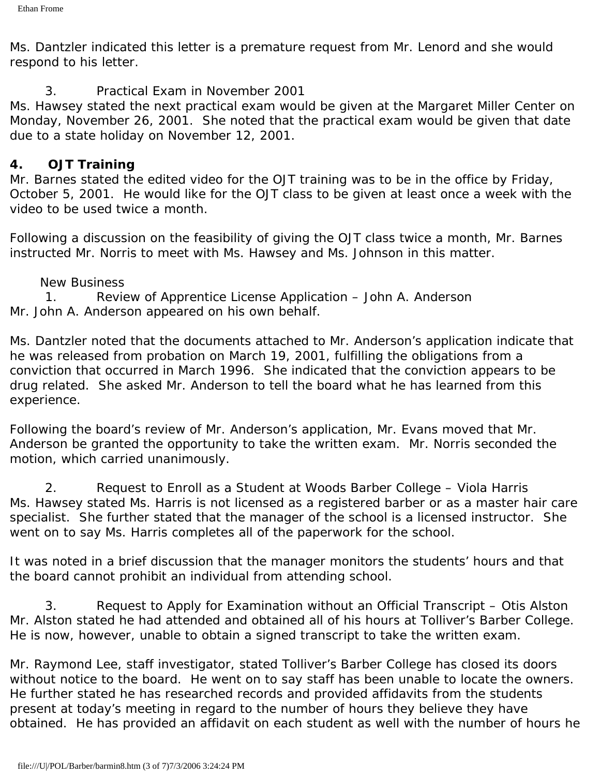Ms. Dantzler indicated this letter is a premature request from Mr. Lenord and she would respond to his letter.

### 3. Practical Exam in November 2001

Ms. Hawsey stated the next practical exam would be given at the Margaret Miller Center on Monday, November 26, 2001. She noted that the practical exam would be given that date due to a state holiday on November 12, 2001.

### *4. OJT Training*

Mr. Barnes stated the edited video for the OJT training was to be in the office by Friday, October 5, 2001. He would like for the OJT class to be given at least once a week with the video to be used twice a month.

Following a discussion on the feasibility of giving the OJT class twice a month, Mr. Barnes instructed Mr. Norris to meet with Ms. Hawsey and Ms. Johnson in this matter.

### New Business

1. Review of Apprentice License Application – John A. Anderson Mr. John A. Anderson appeared on his own behalf.

Ms. Dantzler noted that the documents attached to Mr. Anderson's application indicate that he was released from probation on March 19, 2001, fulfilling the obligations from a conviction that occurred in March 1996. She indicated that the conviction appears to be drug related. She asked Mr. Anderson to tell the board what he has learned from this experience.

Following the board's review of Mr. Anderson's application, Mr. Evans moved that Mr. Anderson be granted the opportunity to take the written exam. Mr. Norris seconded the motion, which carried unanimously.

2. Request to Enroll as a Student at Woods Barber College – Viola Harris Ms. Hawsey stated Ms. Harris is not licensed as a registered barber or as a master hair care specialist. She further stated that the manager of the school is a licensed instructor. She went on to say Ms. Harris completes all of the paperwork for the school.

It was noted in a brief discussion that the manager monitors the students' hours and that the board cannot prohibit an individual from attending school.

3. Request to Apply for Examination without an Official Transcript – Otis Alston Mr. Alston stated he had attended and obtained all of his hours at Tolliver's Barber College. He is now, however, unable to obtain a signed transcript to take the written exam.

Mr. Raymond Lee, staff investigator, stated Tolliver's Barber College has closed its doors without notice to the board. He went on to say staff has been unable to locate the owners. He further stated he has researched records and provided affidavits from the students present at today's meeting in regard to the number of hours they believe they have obtained. He has provided an affidavit on each student as well with the number of hours he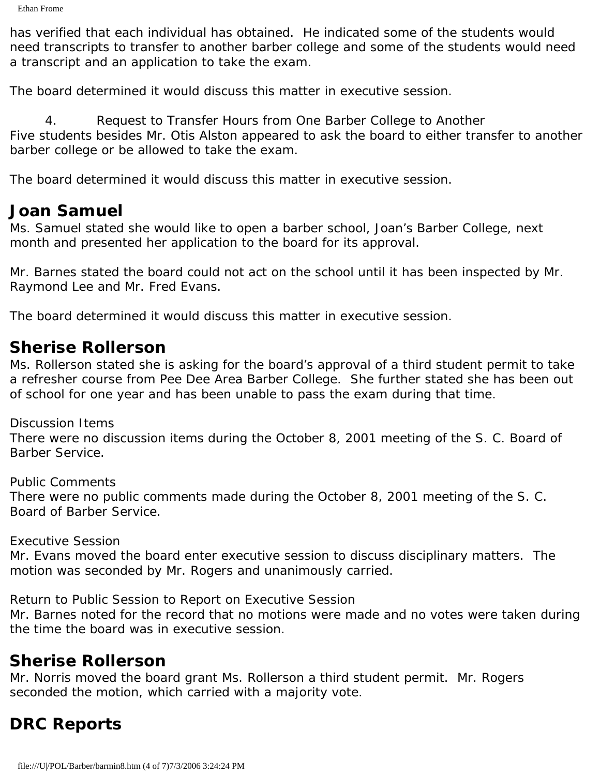has verified that each individual has obtained. He indicated some of the students would need transcripts to transfer to another barber college and some of the students would need a transcript and an application to take the exam.

The board determined it would discuss this matter in executive session.

4. Request to Transfer Hours from One Barber College to Another Five students besides Mr. Otis Alston appeared to ask the board to either transfer to another barber college or be allowed to take the exam.

The board determined it would discuss this matter in executive session.

### **Joan Samuel**

Ms. Samuel stated she would like to open a barber school, Joan's Barber College, next month and presented her application to the board for its approval.

Mr. Barnes stated the board could not act on the school until it has been inspected by Mr. Raymond Lee and Mr. Fred Evans.

The board determined it would discuss this matter in executive session.

## **Sherise Rollerson**

Ms. Rollerson stated she is asking for the board's approval of a third student permit to take a refresher course from Pee Dee Area Barber College. She further stated she has been out of school for one year and has been unable to pass the exam during that time.

Discussion Items

There were no discussion items during the October 8, 2001 meeting of the S. C. Board of Barber Service.

Public Comments

There were no public comments made during the October 8, 2001 meeting of the S. C. Board of Barber Service.

Executive Session

Mr. Evans moved the board enter executive session to discuss disciplinary matters. The motion was seconded by Mr. Rogers and unanimously carried.

Return to Public Session to Report on Executive Session

Mr. Barnes noted for the record that no motions were made and no votes were taken during the time the board was in executive session.

## **Sherise Rollerson**

Mr. Norris moved the board grant Ms. Rollerson a third student permit. Mr. Rogers seconded the motion, which carried with a majority vote.

# **DRC Reports**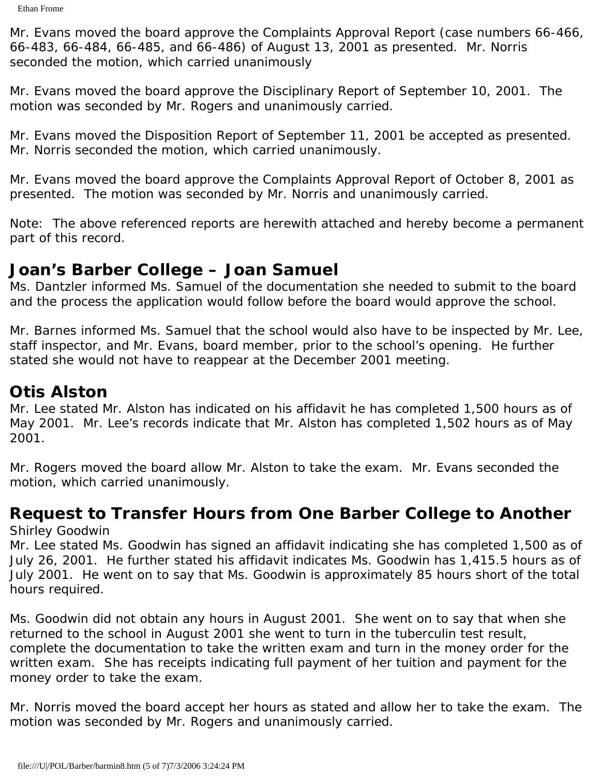Mr. Evans moved the board approve the Complaints Approval Report (case numbers 66-466, 66-483, 66-484, 66-485, and 66-486) of August 13, 2001 as presented. Mr. Norris seconded the motion, which carried unanimously

Mr. Evans moved the board approve the Disciplinary Report of September 10, 2001. The motion was seconded by Mr. Rogers and unanimously carried.

Mr. Evans moved the Disposition Report of September 11, 2001 be accepted as presented. Mr. Norris seconded the motion, which carried unanimously.

Mr. Evans moved the board approve the Complaints Approval Report of October 8, 2001 as presented. The motion was seconded by Mr. Norris and unanimously carried.

Note: The above referenced reports are herewith attached and hereby become a permanent part of this record.

## **Joan's Barber College – Joan Samuel**

Ms. Dantzler informed Ms. Samuel of the documentation she needed to submit to the board and the process the application would follow before the board would approve the school.

Mr. Barnes informed Ms. Samuel that the school would also have to be inspected by Mr. Lee, staff inspector, and Mr. Evans, board member, prior to the school's opening. He further stated she would not have to reappear at the December 2001 meeting.

# **Otis Alston**

Mr. Lee stated Mr. Alston has indicated on his affidavit he has completed 1,500 hours as of May 2001. Mr. Lee's records indicate that Mr. Alston has completed 1,502 hours as of May 2001.

Mr. Rogers moved the board allow Mr. Alston to take the exam. Mr. Evans seconded the motion, which carried unanimously.

### **Request to Transfer Hours from One Barber College to Another** Shirley Goodwin

Mr. Lee stated Ms. Goodwin has signed an affidavit indicating she has completed 1,500 as of July 26, 2001. He further stated his affidavit indicates Ms. Goodwin has 1,415.5 hours as of July 2001. He went on to say that Ms. Goodwin is approximately 85 hours short of the total hours required.

Ms. Goodwin did not obtain any hours in August 2001. She went on to say that when she returned to the school in August 2001 she went to turn in the tuberculin test result, complete the documentation to take the written exam and turn in the money order for the written exam. She has receipts indicating full payment of her tuition and payment for the money order to take the exam.

Mr. Norris moved the board accept her hours as stated and allow her to take the exam. The motion was seconded by Mr. Rogers and unanimously carried.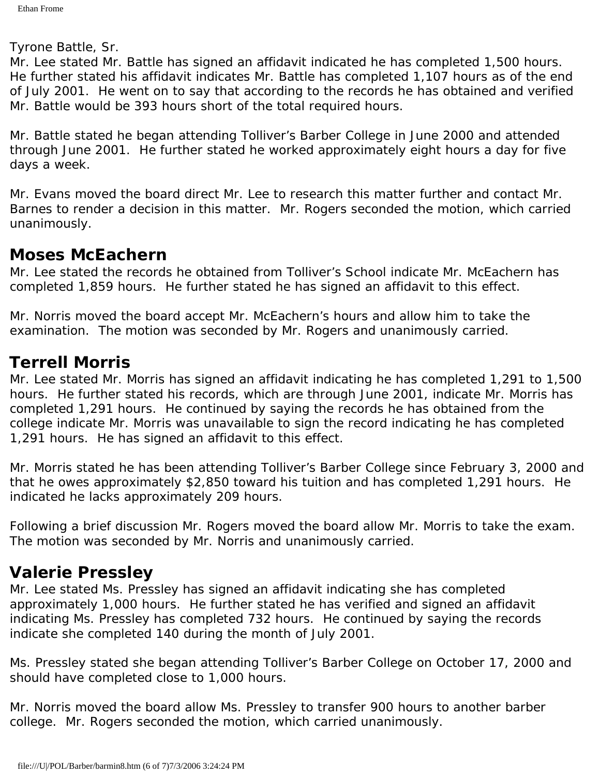Tyrone Battle, Sr.

Mr. Lee stated Mr. Battle has signed an affidavit indicated he has completed 1,500 hours. He further stated his affidavit indicates Mr. Battle has completed 1,107 hours as of the end of July 2001. He went on to say that according to the records he has obtained and verified Mr. Battle would be 393 hours short of the total required hours.

Mr. Battle stated he began attending Tolliver's Barber College in June 2000 and attended through June 2001. He further stated he worked approximately eight hours a day for five days a week.

Mr. Evans moved the board direct Mr. Lee to research this matter further and contact Mr. Barnes to render a decision in this matter. Mr. Rogers seconded the motion, which carried unanimously.

## **Moses McEachern**

Mr. Lee stated the records he obtained from Tolliver's School indicate Mr. McEachern has completed 1,859 hours. He further stated he has signed an affidavit to this effect.

Mr. Norris moved the board accept Mr. McEachern's hours and allow him to take the examination. The motion was seconded by Mr. Rogers and unanimously carried.

## **Terrell Morris**

Mr. Lee stated Mr. Morris has signed an affidavit indicating he has completed 1,291 to 1,500 hours. He further stated his records, which are through June 2001, indicate Mr. Morris has completed 1,291 hours. He continued by saying the records he has obtained from the college indicate Mr. Morris was unavailable to sign the record indicating he has completed 1,291 hours. He has signed an affidavit to this effect.

Mr. Morris stated he has been attending Tolliver's Barber College since February 3, 2000 and that he owes approximately \$2,850 toward his tuition and has completed 1,291 hours. He indicated he lacks approximately 209 hours.

Following a brief discussion Mr. Rogers moved the board allow Mr. Morris to take the exam. The motion was seconded by Mr. Norris and unanimously carried.

# **Valerie Pressley**

Mr. Lee stated Ms. Pressley has signed an affidavit indicating she has completed approximately 1,000 hours. He further stated he has verified and signed an affidavit indicating Ms. Pressley has completed 732 hours. He continued by saying the records indicate she completed 140 during the month of July 2001.

Ms. Pressley stated she began attending Tolliver's Barber College on October 17, 2000 and should have completed close to 1,000 hours.

Mr. Norris moved the board allow Ms. Pressley to transfer 900 hours to another barber college. Mr. Rogers seconded the motion, which carried unanimously.